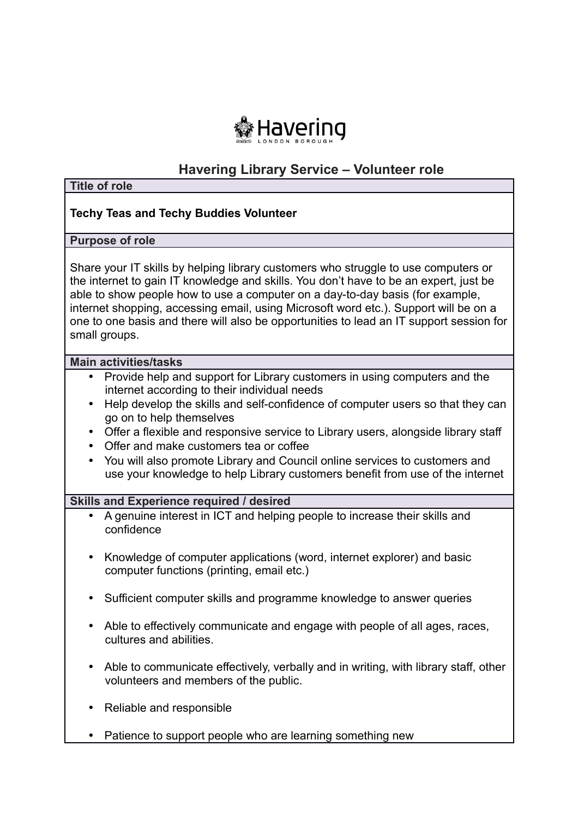

# **Havering Library Service – Volunteer role**

| <b>Title of role</b>                                                                                                                                                                                                                                                                                                                                                                                                                                             |
|------------------------------------------------------------------------------------------------------------------------------------------------------------------------------------------------------------------------------------------------------------------------------------------------------------------------------------------------------------------------------------------------------------------------------------------------------------------|
| <b>Techy Teas and Techy Buddies Volunteer</b>                                                                                                                                                                                                                                                                                                                                                                                                                    |
| <b>Purpose of role</b>                                                                                                                                                                                                                                                                                                                                                                                                                                           |
| Share your IT skills by helping library customers who struggle to use computers or<br>the internet to gain IT knowledge and skills. You don't have to be an expert, just be<br>able to show people how to use a computer on a day-to-day basis (for example,<br>internet shopping, accessing email, using Microsoft word etc.). Support will be on a<br>one to one basis and there will also be opportunities to lead an IT support session for<br>small groups. |
| <b>Main activities/tasks</b>                                                                                                                                                                                                                                                                                                                                                                                                                                     |
| Provide help and support for Library customers in using computers and the<br>$\bullet$<br>internet according to their individual needs<br>Help develop the skills and self-confidence of computer users so that they can<br>$\bullet$                                                                                                                                                                                                                            |
| go on to help themselves<br>Offer a flexible and responsive service to Library users, alongside library staff<br>$\bullet$                                                                                                                                                                                                                                                                                                                                       |
| Offer and make customers tea or coffee<br>$\bullet$<br>You will also promote Library and Council online services to customers and<br>$\bullet$<br>use your knowledge to help Library customers benefit from use of the internet                                                                                                                                                                                                                                  |
| <b>Skills and Experience required / desired</b>                                                                                                                                                                                                                                                                                                                                                                                                                  |
| A genuine interest in ICT and helping people to increase their skills and<br>$\bullet$<br>confidence                                                                                                                                                                                                                                                                                                                                                             |
| Knowledge of computer applications (word, internet explorer) and basic<br>$\bullet$<br>computer functions (printing, email etc.)                                                                                                                                                                                                                                                                                                                                 |
| Sufficient computer skills and programme knowledge to answer queries                                                                                                                                                                                                                                                                                                                                                                                             |
| Able to effectively communicate and engage with people of all ages, races,<br>$\bullet$<br>cultures and abilities.                                                                                                                                                                                                                                                                                                                                               |
| Able to communicate effectively, verbally and in writing, with library staff, other<br>$\bullet$<br>volunteers and members of the public.                                                                                                                                                                                                                                                                                                                        |
| Reliable and responsible                                                                                                                                                                                                                                                                                                                                                                                                                                         |
| Patience to support people who are learning something new                                                                                                                                                                                                                                                                                                                                                                                                        |